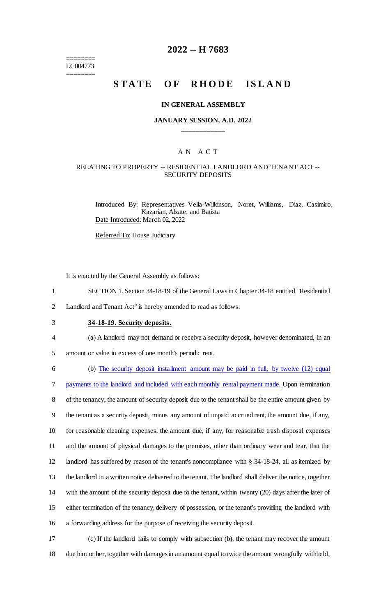======== LC004773 ========

# **2022 -- H 7683**

# **STATE OF RHODE ISLAND**

#### **IN GENERAL ASSEMBLY**

#### **JANUARY SESSION, A.D. 2022 \_\_\_\_\_\_\_\_\_\_\_\_**

## A N A C T

# RELATING TO PROPERTY -- RESIDENTIAL LANDLORD AND TENANT ACT -- SECURITY DEPOSITS

Introduced By: Representatives Vella-Wilkinson, Noret, Williams, Diaz, Casimiro, Kazarian, Alzate, and Batista Date Introduced: March 02, 2022

Referred To: House Judiciary

It is enacted by the General Assembly as follows:

- 1 SECTION 1. Section 34-18-19 of the General Laws in Chapter 34-18 entitled "Residential
- 2 Landlord and Tenant Act" is hereby amended to read as follows:
- 3 **34-18-19. Security deposits.**
- 4 (a) A landlord may not demand or receive a security deposit, however denominated, in an
- 5 amount or value in excess of one month's periodic rent.

 (b) The security deposit installment amount may be paid in full, by twelve (12) equal payments to the landlord and included with each monthly rental payment made. Upon termination of the tenancy, the amount of security deposit due to the tenant shall be the entire amount given by the tenant as a security deposit, minus any amount of unpaid accrued rent, the amount due, if any, for reasonable cleaning expenses, the amount due, if any, for reasonable trash disposal expenses and the amount of physical damages to the premises, other than ordinary wear and tear, that the landlord has suffered by reason of the tenant's noncompliance with § 34-18-24, all as itemized by the landlord in a written notice delivered to the tenant. The landlord shall deliver the notice, together with the amount of the security deposit due to the tenant, within twenty (20) days after the later of either termination of the tenancy, delivery of possession, or the tenant's providing the landlord with a forwarding address for the purpose of receiving the security deposit.

17 (c) If the landlord fails to comply with subsection (b), the tenant may recover the amount 18 due him or her, together with damages in an amount equal to twice the amount wrongfully withheld,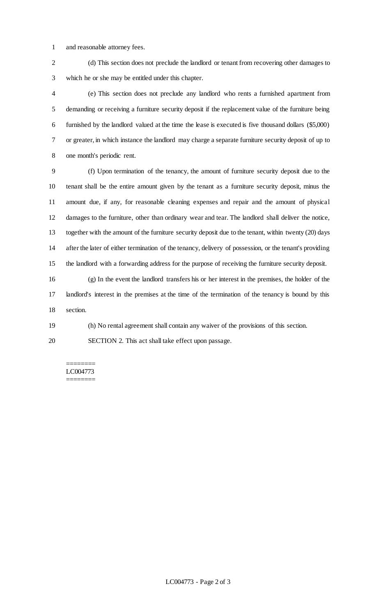- and reasonable attorney fees.
- (d) This section does not preclude the landlord or tenant from recovering other damages to which he or she may be entitled under this chapter.

 (e) This section does not preclude any landlord who rents a furnished apartment from demanding or receiving a furniture security deposit if the replacement value of the furniture being furnished by the landlord valued at the time the lease is executed is five thousand dollars (\$5,000) or greater, in which instance the landlord may charge a separate furniture security deposit of up to one month's periodic rent.

 (f) Upon termination of the tenancy, the amount of furniture security deposit due to the tenant shall be the entire amount given by the tenant as a furniture security deposit, minus the amount due, if any, for reasonable cleaning expenses and repair and the amount of physical damages to the furniture, other than ordinary wear and tear. The landlord shall deliver the notice, together with the amount of the furniture security deposit due to the tenant, within twenty (20) days after the later of either termination of the tenancy, delivery of possession, or the tenant's providing the landlord with a forwarding address for the purpose of receiving the furniture security deposit.

 (g) In the event the landlord transfers his or her interest in the premises, the holder of the landlord's interest in the premises at the time of the termination of the tenancy is bound by this section.

(h) No rental agreement shall contain any waiver of the provisions of this section.

SECTION 2. This act shall take effect upon passage.

======== LC004773 ========